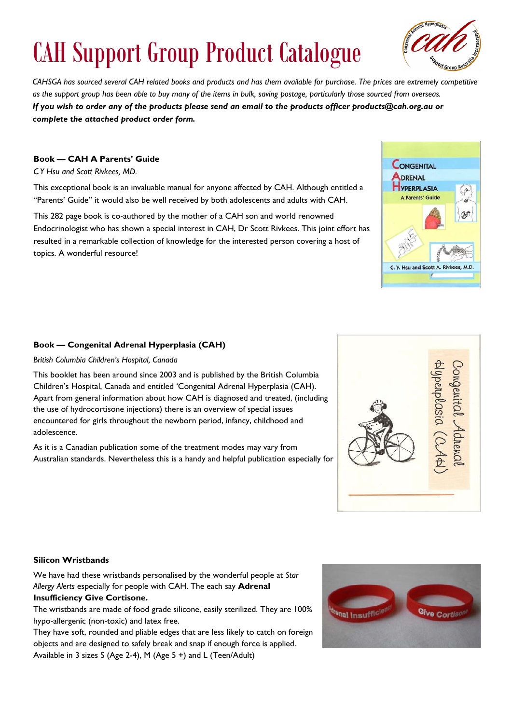# CAH Support Group Product Catalogue

*CAHSGA has sourced several CAH related books and products and has them available for purchase. The prices are extremely competitive as the support group has been able to buy many of the items in bulk, saving postage, particularly those sourced from overseas. If you wish to order any of the products please send an email to the products officer products@cah.org.au or complete the attached product order form.* 

## **Book — CAH A Parents' Guide**

*C.Y Hsu and Scott Rivkees, MD.*

This exceptional book is an invaluable manual for anyone affected by CAH. Although entitled a "Parents' Guide" it would also be well received by both adolescents and adults with CAH.

This 282 page book is co-authored by the mother of a CAH son and world renowned Endocrinologist who has shown a special interest in CAH, Dr Scott Rivkees. This joint effort has resulted in a remarkable collection of knowledge for the interested person covering a host of topics. A wonderful resource!

## **Book — Congenital Adrenal Hyperplasia (CAH)**

#### *British Columbia Children's Hospital, Canada*

This booklet has been around since 2003 and is published by the British Columbia Children's Hospital, Canada and entitled 'Congenital Adrenal Hyperplasia (CAH). Apart from general information about how CAH is diagnosed and treated, (including the use of hydrocortisone injections) there is an overview of special issues encountered for girls throughout the newborn period, infancy, childhood and adolescence.

As it is a Canadian publication some of the treatment modes may vary from Australian standards. Nevertheless this is a handy and helpful publication especially for

## **Silicon Wristbands**

We have had these wristbands personalised by the wonderful people at *Star Allergy Alerts* especially for people with CAH. The each say **Adrenal Insufficiency Give Cortisone.** 

The wristbands are made of food grade silicone, easily sterilized. They are 100% hypo-allergenic (non-toxic) and latex free.

They have soft, rounded and pliable edges that are less likely to catch on foreign objects and are designed to safely break and snap if enough force is applied. Available in 3 sizes S (Age 2-4), M (Age 5 +) and L (Teen/Adult)







Dongenital Adrena